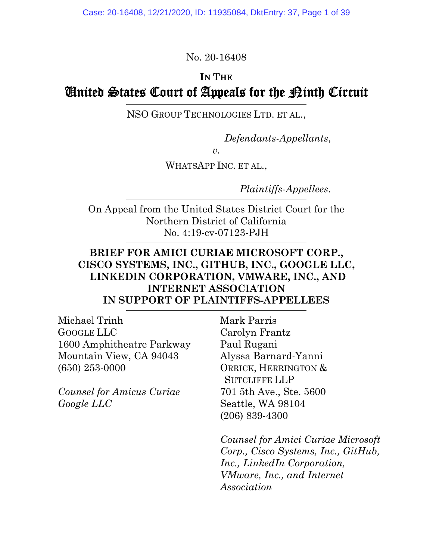No. 20-16408

# **IN THE**  United States Court of Appeals for the Ninth Circuit

NSO GROUP TECHNOLOGIES LTD. ET AL.,

*Defendants-Appellants*,

 $v<sub>l</sub>$ 

WHATSAPP INC. ET AL.,

*Plaintiffs-Appellees*.

On Appeal from the United States District Court for the Northern District of California No. 4:19-cv-07123-PJH

# **BRIEF FOR AMICI CURIAE MICROSOFT CORP., CISCO SYSTEMS, INC., GITHUB, INC., GOOGLE LLC, LINKEDIN CORPORATION, VMWARE, INC., AND INTERNET ASSOCIATION IN SUPPORT OF PLAINTIFFS-APPELLEES**

Michael Trinh GOOGLE LLC 1600 Amphitheatre Parkway Mountain View, CA 94043 (650) 253-0000

*Counsel for Amicus Curiae Google LLC*

Mark Parris Carolyn Frantz Paul Rugani Alyssa Barnard-Yanni ORRICK, HERRINGTON & SUTCLIFFE LLP 701 5th Ave., Ste. 5600 Seattle, WA 98104 (206) 839-4300

*Counsel for Amici Curiae Microsoft Corp., Cisco Systems, Inc., GitHub, Inc., LinkedIn Corporation, VMware, Inc., and Internet Association*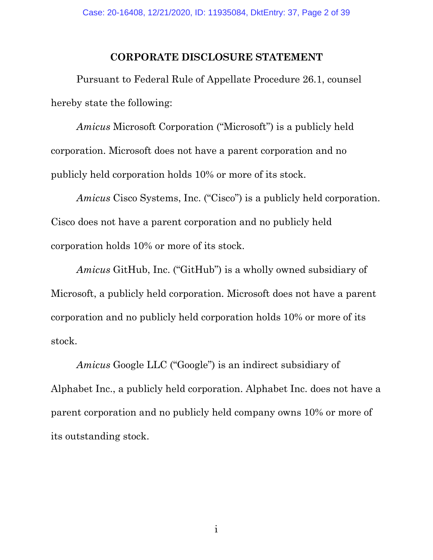#### **CORPORATE DISCLOSURE STATEMENT**

<span id="page-1-0"></span>Pursuant to Federal Rule of Appellate Procedure 26.1, counsel hereby state the following:

*Amicus* Microsoft Corporation ("Microsoft") is a publicly held corporation. Microsoft does not have a parent corporation and no publicly held corporation holds 10% or more of its stock.

*Amicus* Cisco Systems, Inc. ("Cisco") is a publicly held corporation. Cisco does not have a parent corporation and no publicly held corporation holds 10% or more of its stock.

*Amicus* GitHub, Inc. ("GitHub") is a wholly owned subsidiary of Microsoft, a publicly held corporation. Microsoft does not have a parent corporation and no publicly held corporation holds 10% or more of its stock.

*Amicus* Google LLC ("Google") is an indirect subsidiary of Alphabet Inc., a publicly held corporation. Alphabet Inc. does not have a parent corporation and no publicly held company owns 10% or more of its outstanding stock.

i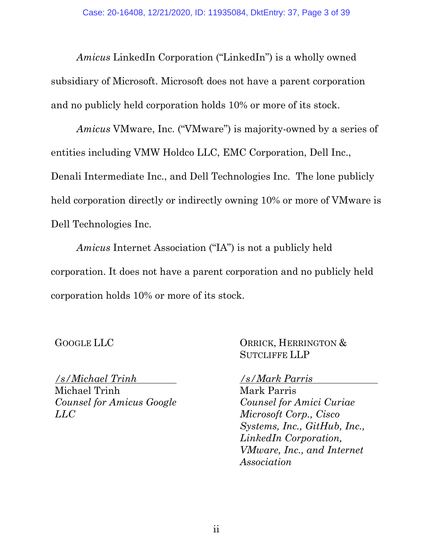*Amicus* LinkedIn Corporation ("LinkedIn") is a wholly owned subsidiary of Microsoft. Microsoft does not have a parent corporation and no publicly held corporation holds 10% or more of its stock.

*Amicus* VMware, Inc. ("VMware") is majority-owned by a series of entities including VMW Holdco LLC, EMC Corporation, Dell Inc., Denali Intermediate Inc., and Dell Technologies Inc. The lone publicly held corporation directly or indirectly owning 10% or more of VMware is Dell Technologies Inc.

*Amicus* Internet Association ("IA") is not a publicly held corporation. It does not have a parent corporation and no publicly held corporation holds 10% or more of its stock.

GOOGLE LLC

ORRICK, HERRINGTON & SUTCLIFFE LLP

*/s/Michael Trinh* Michael Trinh *Counsel for Amicus Google LLC*

*/s/Mark Parris*

Mark Parris *Counsel for Amici Curiae Microsoft Corp., Cisco Systems, Inc., GitHub, Inc., LinkedIn Corporation, VMware, Inc., and Internet Association*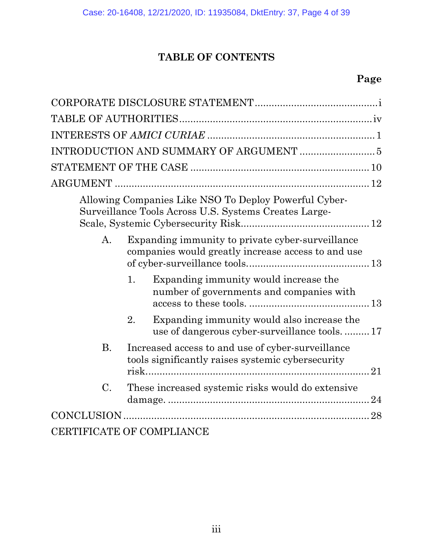# **TABLE OF CONTENTS**

# **Page**

|                           |                                                                                                        | Allowing Companies Like NSO To Deploy Powerful Cyber-<br>Surveillance Tools Across U.S. Systems Creates Large- |    |  |
|---------------------------|--------------------------------------------------------------------------------------------------------|----------------------------------------------------------------------------------------------------------------|----|--|
| A.                        |                                                                                                        | Expanding immunity to private cyber-surveillance<br>companies would greatly increase access to and use         |    |  |
|                           | 1.                                                                                                     | Expanding immunity would increase the<br>number of governments and companies with                              |    |  |
|                           | 2.                                                                                                     | Expanding immunity would also increase the<br>use of dangerous cyber-surveillance tools17                      |    |  |
| <b>B.</b>                 | Increased access to and use of cyber-surveillance<br>tools significantly raises systemic cybersecurity |                                                                                                                | 21 |  |
| $\mathcal{C}$ .           | These increased systemic risks would do extensive                                                      |                                                                                                                |    |  |
|                           |                                                                                                        |                                                                                                                |    |  |
| CERTIFICATE OF COMPLIANCE |                                                                                                        |                                                                                                                |    |  |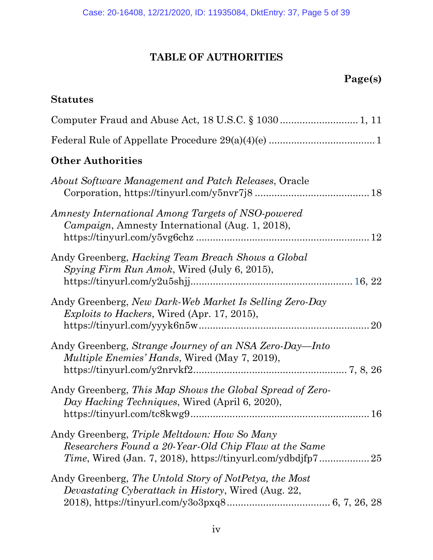# **TABLE OF AUTHORITIES**

# **Page(s)**

<span id="page-4-0"></span>

| <b>Statutes</b>                                                                                                      |
|----------------------------------------------------------------------------------------------------------------------|
|                                                                                                                      |
|                                                                                                                      |
| <b>Other Authorities</b>                                                                                             |
| About Software Management and Patch Releases, Oracle                                                                 |
| Amnesty International Among Targets of NSO-powered<br>Campaign, Amnesty International (Aug. 1, 2018),                |
| Andy Greenberg, <i>Hacking Team Breach Shows a Global</i><br>Spying Firm Run Amok, Wired (July 6, 2015),             |
| Andy Greenberg, New Dark-Web Market Is Selling Zero-Day<br><i>Exploits to Hackers, Wired (Apr. 17, 2015),</i>        |
| Andy Greenberg, Strange Journey of an NSA Zero-Day—Into<br><i>Multiple Enemies' Hands</i> , Wired (May 7, 2019),     |
| Andy Greenberg, This Map Shows the Global Spread of Zero-<br>Day Hacking Techniques, Wired (April 6, 2020),          |
| Andy Greenberg, <i>Triple Meltdown: How So Many</i><br>Researchers Found a 20-Year-Old Chip Flaw at the Same         |
| Andy Greenberg, The Untold Story of NotPetya, the Most<br><i>Devastating Cyberattack in History, Wired (Aug. 22,</i> |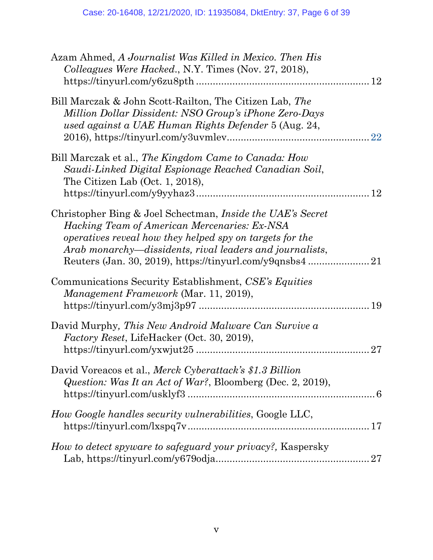| Azam Ahmed, A Journalist Was Killed in Mexico. Then His<br>Colleagues Were Hacked., N.Y. Times (Nov. 27, 2018),                                                                                                                           |
|-------------------------------------------------------------------------------------------------------------------------------------------------------------------------------------------------------------------------------------------|
| Bill Marczak & John Scott-Railton, The Citizen Lab, The<br>Million Dollar Dissident: NSO Group's iPhone Zero-Days<br>used against a UAE Human Rights Defender 5 (Aug. 24,                                                                 |
| Bill Marczak et al., The Kingdom Came to Canada: How<br>Saudi-Linked Digital Espionage Reached Canadian Soil,<br>The Citizen Lab (Oct. $1, 2018$ ),                                                                                       |
| Christopher Bing & Joel Schectman, <i>Inside the UAE's Secret</i><br>Hacking Team of American Mercenaries: Ex-NSA<br>operatives reveal how they helped spy on targets for the<br>Arab monarchy—dissidents, rival leaders and journalists, |
| Communications Security Establishment, CSE's Equities<br>Management Framework (Mar. 11, 2019),                                                                                                                                            |
| David Murphy, This New Android Malware Can Survive a<br>Factory Reset, LifeHacker (Oct. 30, 2019),<br>27                                                                                                                                  |
| David Voreacos et al., Merck Cyberattack's \$1.3 Billion<br>Question: Was It an Act of War?, Bloomberg (Dec. 2, 2019),                                                                                                                    |
| How Google handles security vulnerabilities, Google LLC,                                                                                                                                                                                  |
| How to detect spyware to safeguard your privacy?, Kaspersky                                                                                                                                                                               |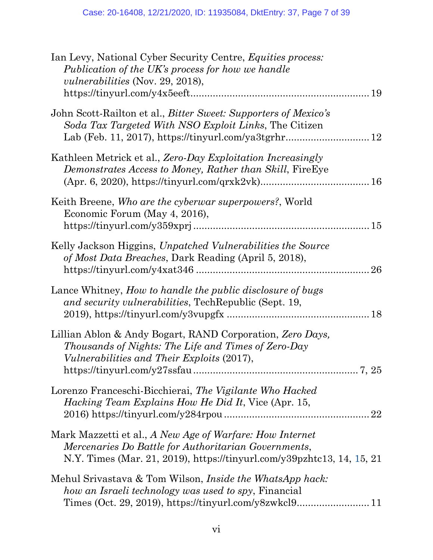| Ian Levy, National Cyber Security Centre, <i>Equities process:</i><br>Publication of the UK's process for how we handle<br><i>vulnerabilities</i> (Nov. 29, 2018),                         |
|--------------------------------------------------------------------------------------------------------------------------------------------------------------------------------------------|
| John Scott-Railton et al., <i>Bitter Sweet: Supporters of Mexico's</i><br>Soda Tax Targeted With NSO Exploit Links, The Citizen                                                            |
| Kathleen Metrick et al., Zero-Day Exploitation Increasingly<br>Demonstrates Access to Money, Rather than Skill, FireEye                                                                    |
| Keith Breene, Who are the cyberwar superpowers?, World<br>Economic Forum (May 4, 2016),                                                                                                    |
| Kelly Jackson Higgins, Unpatched Vulnerabilities the Source<br>of Most Data Breaches, Dark Reading (April 5, 2018),                                                                        |
| Lance Whitney, How to handle the public disclosure of bugs<br>and security vulnerabilities, Tech Republic (Sept. 19,                                                                       |
| Lillian Ablon & Andy Bogart, RAND Corporation, Zero Days,<br>Thousands of Nights: The Life and Times of Zero-Day<br><i>Vulnerabilities and Their Exploits (2017),</i>                      |
| Lorenzo Franceschi-Bicchierai, The Vigilante Who Hacked<br><i>Hacking Team Explains How He Did It, Vice (Apr. 15,</i>                                                                      |
| Mark Mazzetti et al., A New Age of Warfare: How Internet<br>Mercenaries Do Battle for Authoritarian Governments,<br>N.Y. Times (Mar. 21, 2019), https://tinyurl.com/y39pzhtc13, 14, 15, 21 |
| Mehul Srivastava & Tom Wilson, <i>Inside the WhatsApp hack</i> :<br>how an Israeli technology was used to spy, Financial                                                                   |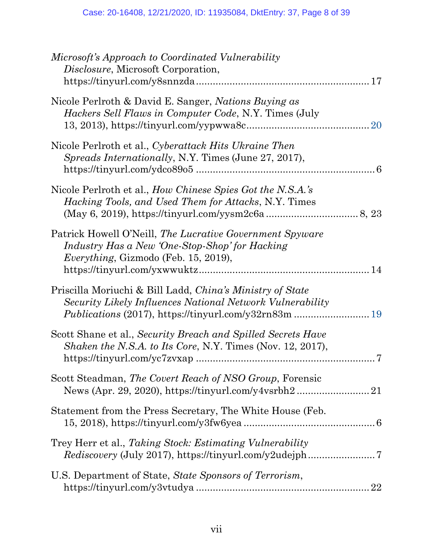| Microsoft's Approach to Coordinated Vulnerability<br><i>Disclosure, Microsoft Corporation,</i>                                                                                         |           |
|----------------------------------------------------------------------------------------------------------------------------------------------------------------------------------------|-----------|
| Nicole Perlroth & David E. Sanger, <i>Nations Buying as</i><br><i>Hackers Sell Flaws in Computer Code, N.Y. Times (July</i>                                                            | <b>20</b> |
| Nicole Perlroth et al., Cyberattack Hits Ukraine Then<br>Spreads Internationally, N.Y. Times (June 27, 2017),                                                                          |           |
| Nicole Perlroth et al., How Chinese Spies Got the N.S.A.'s<br><i>Hacking Tools, and Used Them for Attacks, N.Y. Times</i>                                                              |           |
| Patrick Howell O'Neill, The Lucrative Government Spyware<br>Industry Has a New 'One-Stop-Shop' for Hacking<br><i>Everything</i> , Gizmodo (Feb. 15, 2019),                             |           |
| Priscilla Moriuchi & Bill Ladd, China's Ministry of State<br>Security Likely Influences National Network Vulnerability<br><i>Publications</i> (2017), https://tinyurl.com/y32rn83m  19 |           |
| Scott Shane et al., Security Breach and Spilled Secrets Have<br><i>Shaken the N.S.A. to Its Core, N.Y. Times (Nov. 12, 2017),</i>                                                      |           |
| Scott Steadman, The Covert Reach of NSO Group, Forensic                                                                                                                                |           |
| Statement from the Press Secretary, The White House (Feb.                                                                                                                              |           |
| Trey Herr et al., Taking Stock: Estimating Vulnerability                                                                                                                               |           |
| U.S. Department of State, State Sponsors of Terrorism,                                                                                                                                 |           |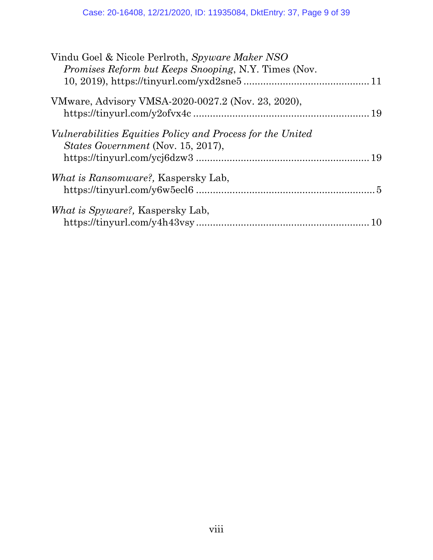| Vindu Goel & Nicole Perlroth, Spyware Maker NSO<br><i>Promises Reform but Keeps Snooping, N.Y. Times (Nov.</i> |  |
|----------------------------------------------------------------------------------------------------------------|--|
|                                                                                                                |  |
| VMware, Advisory VMSA-2020-0027.2 (Nov. 23, 2020),                                                             |  |
|                                                                                                                |  |
| <i>Vulnerabilities Equities Policy and Process for the United</i><br><i>States Government (Nov. 15, 2017),</i> |  |
|                                                                                                                |  |
| <i>What is Ransomware?</i> , Kaspersky Lab,                                                                    |  |
| What is Spyware?, Kaspersky Lab,                                                                               |  |
|                                                                                                                |  |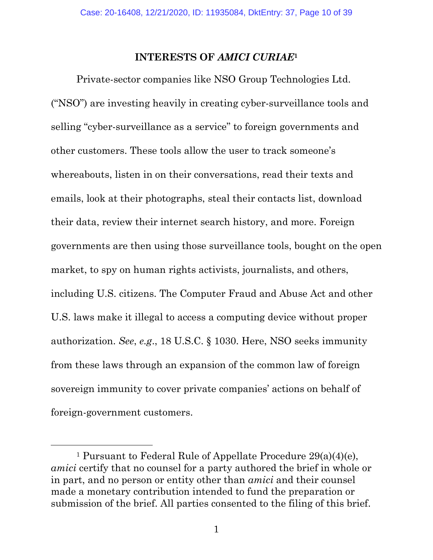#### **INTERESTS OF** *AMICI CURIAE***<sup>1</sup>**

<span id="page-9-0"></span>Private-sector companies like NSO Group Technologies Ltd. ("NSO") are investing heavily in creating cyber-surveillance tools and selling "cyber-surveillance as a service" to foreign governments and other customers. These tools allow the user to track someone's whereabouts, listen in on their conversations, read their texts and emails, look at their photographs, steal their contacts list, download their data, review their internet search history, and more. Foreign governments are then using those surveillance tools, bought on the open market, to spy on human rights activists, journalists, and others, including U.S. citizens. The Computer Fraud and Abuse Act and other U.S. laws make it illegal to access a computing device without proper authorization. *See*, *e.g*., 18 U.S.C. § 1030. Here, NSO seeks immunity from these laws through an expansion of the common law of foreign sovereign immunity to cover private companies' actions on behalf of foreign-government customers.

<sup>&</sup>lt;sup>1</sup> Pursuant to Federal Rule of Appellate Procedure  $29(a)(4)(e)$ , *amici* certify that no counsel for a party authored the brief in whole or in part, and no person or entity other than *amici* and their counsel made a monetary contribution intended to fund the preparation or submission of the brief. All parties consented to the filing of this brief.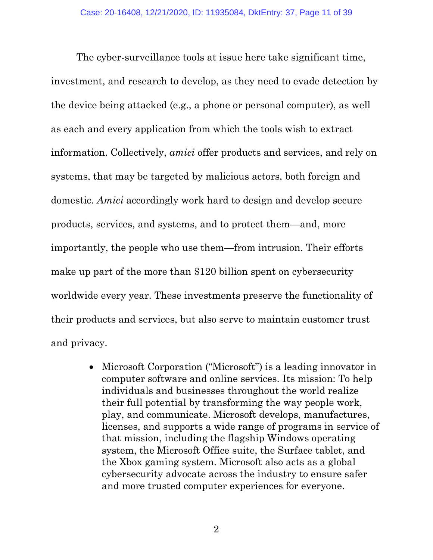The cyber-surveillance tools at issue here take significant time, investment, and research to develop, as they need to evade detection by the device being attacked (e.g., a phone or personal computer), as well as each and every application from which the tools wish to extract information. Collectively, *amici* offer products and services, and rely on systems, that may be targeted by malicious actors, both foreign and domestic. *Amici* accordingly work hard to design and develop secure products, services, and systems, and to protect them—and, more importantly, the people who use them—from intrusion. Their efforts make up part of the more than \$120 billion spent on cybersecurity worldwide every year. These investments preserve the functionality of their products and services, but also serve to maintain customer trust and privacy.

> Microsoft Corporation ("Microsoft") is a leading innovator in computer software and online services. Its mission: To help individuals and businesses throughout the world realize their full potential by transforming the way people work, play, and communicate. Microsoft develops, manufactures, licenses, and supports a wide range of programs in service of that mission, including the flagship Windows operating system, the Microsoft Office suite, the Surface tablet, and the Xbox gaming system. Microsoft also acts as a global cybersecurity advocate across the industry to ensure safer and more trusted computer experiences for everyone.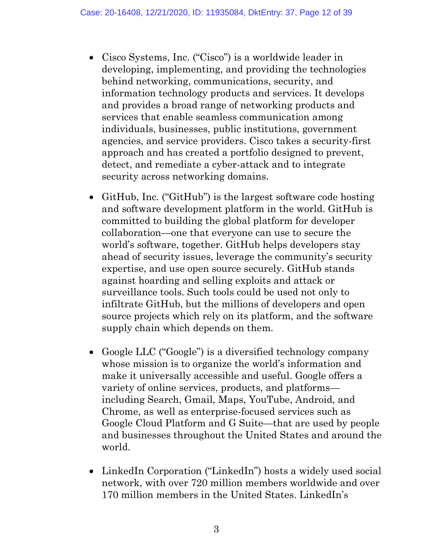- Cisco Systems, Inc. ("Cisco") is a worldwide leader in developing, implementing, and providing the technologies behind networking, communications, security, and information technology products and services. It develops and provides a broad range of networking products and services that enable seamless communication among individuals, businesses, public institutions, government agencies, and service providers. Cisco takes a security-first approach and has created a portfolio designed to prevent, detect, and remediate a cyber-attack and to integrate security across networking domains.
- GitHub, Inc. ("GitHub") is the largest software code hosting and software development platform in the world. GitHub is committed to building the global platform for developer collaboration—one that everyone can use to secure the world's software, together. GitHub helps developers stay ahead of security issues, leverage the community's security expertise, and use open source securely. GitHub stands against hoarding and selling exploits and attack or surveillance tools. Such tools could be used not only to infiltrate GitHub, but the millions of developers and open source projects which rely on its platform, and the software supply chain which depends on them.
- Google LLC ("Google") is a diversified technology company whose mission is to organize the world's information and make it universally accessible and useful. Google offers a variety of online services, products, and platforms including Search, Gmail, Maps, YouTube, Android, and Chrome, as well as enterprise-focused services such as Google Cloud Platform and G Suite—that are used by people and businesses throughout the United States and around the world.
- LinkedIn Corporation ("LinkedIn") hosts a widely used social network, with over 720 million members worldwide and over 170 million members in the United States. LinkedIn's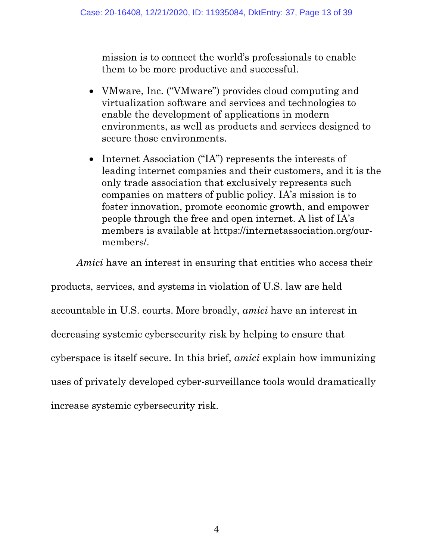mission is to connect the world's professionals to enable them to be more productive and successful.

- VMware, Inc. ("VMware") provides cloud computing and virtualization software and services and technologies to enable the development of applications in modern environments, as well as products and services designed to secure those environments.
- Internet Association ("IA") represents the interests of leading internet companies and their customers, and it is the only trade association that exclusively represents such companies on matters of public policy. IA's mission is to foster innovation, promote economic growth, and empower people through the free and open internet. A list of IA's members is available at https://internetassociation.org/ourmembers/.

*Amici* have an interest in ensuring that entities who access their

products, services, and systems in violation of U.S. law are held accountable in U.S. courts. More broadly, *amici* have an interest in decreasing systemic cybersecurity risk by helping to ensure that cyberspace is itself secure. In this brief, *amici* explain how immunizing uses of privately developed cyber-surveillance tools would dramatically increase systemic cybersecurity risk.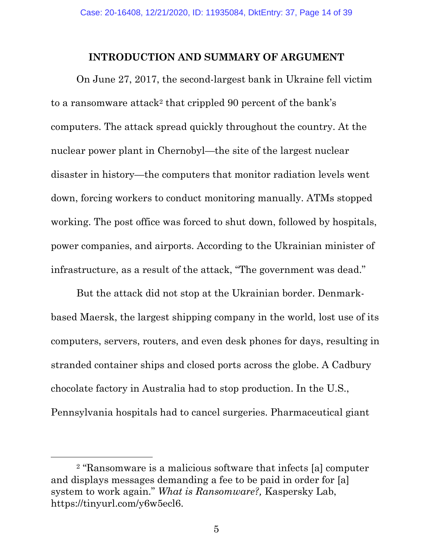#### **INTRODUCTION AND SUMMARY OF ARGUMENT**

<span id="page-13-0"></span>On June 27, 2017, the second-largest bank in Ukraine fell victim to a ransomware attack<sup>2</sup> that crippled 90 percent of the bank's computers. The attack spread quickly throughout the country. At the nuclear power plant in Chernobyl—the site of the largest nuclear disaster in history—the computers that monitor radiation levels went down, forcing workers to conduct monitoring manually. ATMs stopped working. The post office was forced to shut down, followed by hospitals, power companies, and airports. According to the Ukrainian minister of infrastructure, as a result of the attack, "The government was dead."

But the attack did not stop at the Ukrainian border. Denmarkbased Maersk, the largest shipping company in the world, lost use of its computers, servers, routers, and even desk phones for days, resulting in stranded container ships and closed ports across the globe. A Cadbury chocolate factory in Australia had to stop production. In the U.S., Pennsylvania hospitals had to cancel surgeries. Pharmaceutical giant

<sup>2</sup> "Ransomware is a malicious software that infects [a] computer and displays messages demanding a fee to be paid in order for [a] system to work again." *What is Ransomware?,* Kaspersky Lab, https://tinyurl.com/y6w5ecl6.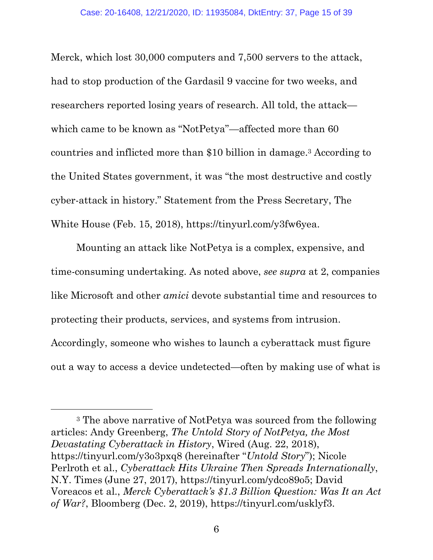Merck, which lost 30,000 computers and 7,500 servers to the attack, had to stop production of the Gardasil 9 vaccine for two weeks, and researchers reported losing years of research. All told, the attack which came to be known as "NotPetya"—affected more than 60 countries and inflicted more than \$10 billion in damage.3 According to the United States government, it was "the most destructive and costly cyber-attack in history." Statement from the Press Secretary, The White House (Feb. 15, 2018), https://tinyurl.com/y3fw6yea.

Mounting an attack like NotPetya is a complex, expensive, and time-consuming undertaking. As noted above, *see supra* at 2, companies like Microsoft and other *amici* devote substantial time and resources to protecting their products, services, and systems from intrusion. Accordingly, someone who wishes to launch a cyberattack must figure out a way to access a device undetected—often by making use of what is

<sup>3</sup> The above narrative of NotPetya was sourced from the following articles: Andy Greenberg, *The Untold Story of NotPetya, the Most Devastating Cyberattack in History*, Wired (Aug. 22, 2018), https://tinyurl.com/y3o3pxq8 (hereinafter "*Untold Story*"); Nicole Perlroth et al., *Cyberattack Hits Ukraine Then Spreads Internationally*, N.Y. Times (June 27, 2017), https://tinyurl.com/ydco89o5; David Voreacos et al., *Merck Cyberattack's \$1.3 Billion Question: Was It an Act of War?*, Bloomberg (Dec. 2, 2019), https://tinyurl.com/usklyf3.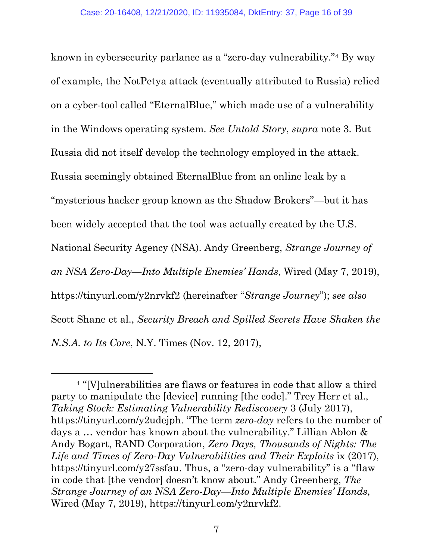known in cybersecurity parlance as a "zero-day vulnerability."4 By way of example, the NotPetya attack (eventually attributed to Russia) relied on a cyber-tool called "EternalBlue," which made use of a vulnerability in the Windows operating system. *See Untold Story*, *supra* note 3. But Russia did not itself develop the technology employed in the attack. Russia seemingly obtained EternalBlue from an online leak by a "mysterious hacker group known as the Shadow Brokers"—but it has been widely accepted that the tool was actually created by the U.S. National Security Agency (NSA). Andy Greenberg, *Strange Journey of an NSA Zero-Day—Into Multiple Enemies' Hands*, Wired (May 7, 2019), https://tinyurl.com/y2nrvkf2 (hereinafter "*Strange Journey*"); *see also* Scott Shane et al., *Security Breach and Spilled Secrets Have Shaken the N.S.A. to Its Core*, N.Y. Times (Nov. 12, 2017),

<sup>4</sup> "[V]ulnerabilities are flaws or features in code that allow a third party to manipulate the [device] running [the code]." Trey Herr et al., *Taking Stock: Estimating Vulnerability Rediscovery* 3 (July 2017), https://tinyurl.com/y2udejph. "The term *zero-day* refers to the number of days a … vendor has known about the vulnerability." Lillian Ablon & Andy Bogart, RAND Corporation, *Zero Days, Thousands of Nights: The*  Life and Times of Zero-Day Vulnerabilities and Their Exploits ix (2017), https://tinyurl.com/y27ssfau. Thus, a "zero-day vulnerability" is a "flaw in code that [the vendor] doesn't know about." Andy Greenberg, *The Strange Journey of an NSA Zero-Day—Into Multiple Enemies' Hands*, Wired (May 7, 2019), https://tinyurl.com/y2nrvkf2.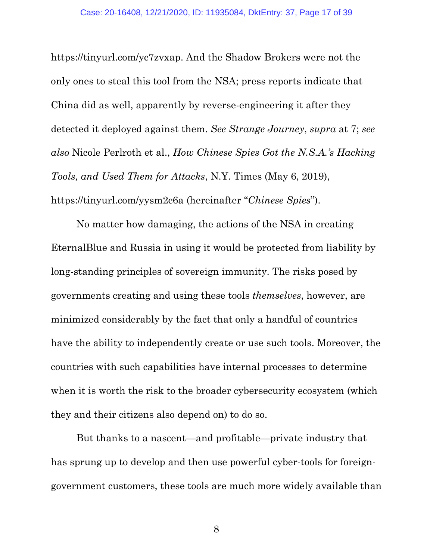https://tinyurl.com/yc7zvxap. And the Shadow Brokers were not the only ones to steal this tool from the NSA; press reports indicate that China did as well, apparently by reverse-engineering it after they detected it deployed against them. *See Strange Journey*, *supra* at 7; *see also* Nicole Perlroth et al., *How Chinese Spies Got the N.S.A.'s Hacking Tools, and Used Them for Attacks*, N.Y. Times (May 6, 2019), https://tinyurl.com/yysm2c6a (hereinafter "*Chinese Spies*").

No matter how damaging, the actions of the NSA in creating EternalBlue and Russia in using it would be protected from liability by long-standing principles of sovereign immunity. The risks posed by governments creating and using these tools *themselves*, however, are minimized considerably by the fact that only a handful of countries have the ability to independently create or use such tools. Moreover, the countries with such capabilities have internal processes to determine when it is worth the risk to the broader cybersecurity ecosystem (which they and their citizens also depend on) to do so.

But thanks to a nascent—and profitable—private industry that has sprung up to develop and then use powerful cyber-tools for foreigngovernment customers, these tools are much more widely available than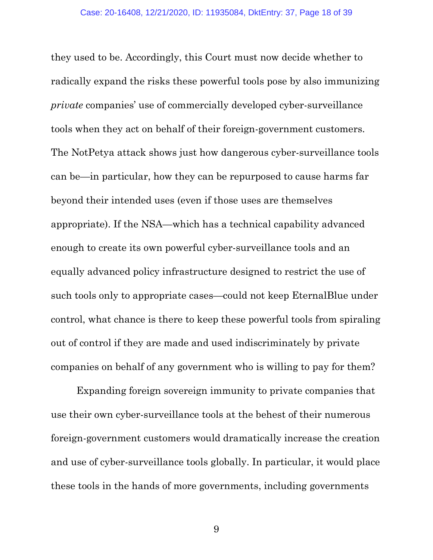they used to be. Accordingly, this Court must now decide whether to radically expand the risks these powerful tools pose by also immunizing *private* companies' use of commercially developed cyber-surveillance tools when they act on behalf of their foreign-government customers. The NotPetya attack shows just how dangerous cyber-surveillance tools can be—in particular, how they can be repurposed to cause harms far beyond their intended uses (even if those uses are themselves appropriate). If the NSA—which has a technical capability advanced enough to create its own powerful cyber-surveillance tools and an equally advanced policy infrastructure designed to restrict the use of such tools only to appropriate cases—could not keep EternalBlue under control, what chance is there to keep these powerful tools from spiraling out of control if they are made and used indiscriminately by private companies on behalf of any government who is willing to pay for them?

Expanding foreign sovereign immunity to private companies that use their own cyber-surveillance tools at the behest of their numerous foreign-government customers would dramatically increase the creation and use of cyber-surveillance tools globally. In particular, it would place these tools in the hands of more governments, including governments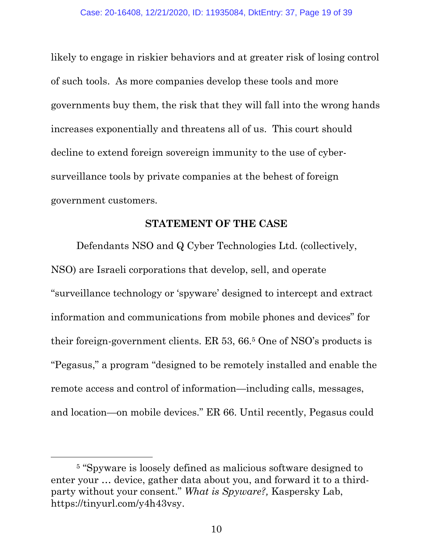likely to engage in riskier behaviors and at greater risk of losing control of such tools. As more companies develop these tools and more governments buy them, the risk that they will fall into the wrong hands increases exponentially and threatens all of us. This court should decline to extend foreign sovereign immunity to the use of cybersurveillance tools by private companies at the behest of foreign government customers.

#### **STATEMENT OF THE CASE**

<span id="page-18-0"></span>Defendants NSO and Q Cyber Technologies Ltd. (collectively, NSO) are Israeli corporations that develop, sell, and operate "surveillance technology or 'spyware' designed to intercept and extract information and communications from mobile phones and devices" for their foreign-government clients. ER 53, 66.5 One of NSO's products is "Pegasus," a program "designed to be remotely installed and enable the remote access and control of information—including calls, messages, and location—on mobile devices." ER 66. Until recently, Pegasus could

<sup>5</sup> "Spyware is loosely defined as malicious software designed to enter your … device, gather data about you, and forward it to a thirdparty without your consent." *What is Spyware?,* Kaspersky Lab, https://tinyurl.com/y4h43vsy.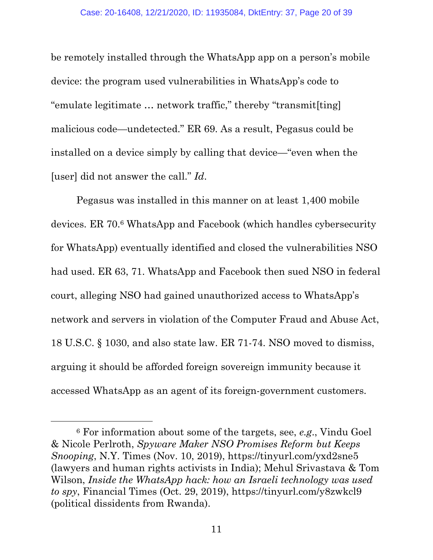be remotely installed through the WhatsApp app on a person's mobile device: the program used vulnerabilities in WhatsApp's code to "emulate legitimate … network traffic," thereby "transmit[ting] malicious code—undetected." ER 69. As a result, Pegasus could be installed on a device simply by calling that device—"even when the [user] did not answer the call." *Id*.

Pegasus was installed in this manner on at least 1,400 mobile devices. ER 70.6 WhatsApp and Facebook (which handles cybersecurity for WhatsApp) eventually identified and closed the vulnerabilities NSO had used. ER 63, 71. WhatsApp and Facebook then sued NSO in federal court, alleging NSO had gained unauthorized access to WhatsApp's network and servers in violation of the Computer Fraud and Abuse Act, 18 U.S.C. § 1030, and also state law. ER 71-74. NSO moved to dismiss, arguing it should be afforded foreign sovereign immunity because it accessed WhatsApp as an agent of its foreign-government customers.

<sup>6</sup> For information about some of the targets, see, *e.g*., Vindu Goel & Nicole Perlroth, *Spyware Maker NSO Promises Reform but Keeps Snooping*, N.Y. Times (Nov. 10, 2019), https://tinyurl.com/yxd2sne5 (lawyers and human rights activists in India); Mehul Srivastava & Tom Wilson, *Inside the WhatsApp hack: how an Israeli technology was used to spy*, Financial Times (Oct. 29, 2019), https://tinyurl.com/y8zwkcl9 (political dissidents from Rwanda).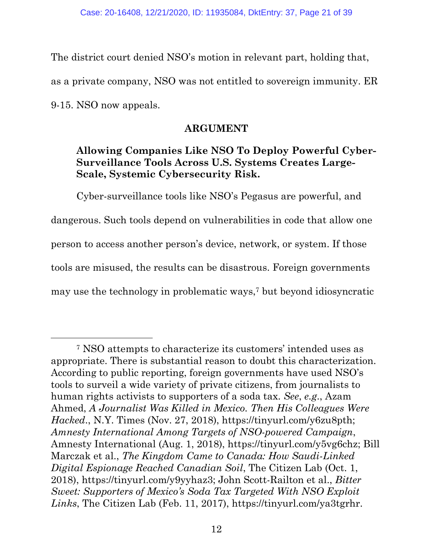The district court denied NSO's motion in relevant part, holding that, as a private company, NSO was not entitled to sovereign immunity. ER 9-15. NSO now appeals.

#### **ARGUMENT**

# <span id="page-20-1"></span><span id="page-20-0"></span>**Allowing Companies Like NSO To Deploy Powerful Cyber-Surveillance Tools Across U.S. Systems Creates Large-Scale, Systemic Cybersecurity Risk.**

Cyber-surveillance tools like NSO's Pegasus are powerful, and dangerous. Such tools depend on vulnerabilities in code that allow one person to access another person's device, network, or system. If those tools are misused, the results can be disastrous. Foreign governments may use the technology in problematic ways,7 but beyond idiosyncratic

<sup>7</sup> NSO attempts to characterize its customers' intended uses as appropriate. There is substantial reason to doubt this characterization. According to public reporting, foreign governments have used NSO's tools to surveil a wide variety of private citizens, from journalists to human rights activists to supporters of a soda tax. *See*, *e.g*., Azam Ahmed, *A Journalist Was Killed in Mexico. Then His Colleagues Were Hacked*., N.Y. Times (Nov. 27, 2018), https://tinyurl.com/y6zu8pth; *Amnesty International Among Targets of NSO-powered Campaign*, Amnesty International (Aug. 1, 2018), https://tinyurl.com/y5vg6chz; Bill Marczak et al., *The Kingdom Came to Canada: How Saudi-Linked Digital Espionage Reached Canadian Soil*, The Citizen Lab (Oct. 1, 2018), https://tinyurl.com/y9yyhaz3; John Scott-Railton et al., *Bitter Sweet: Supporters of Mexico's Soda Tax Targeted With NSO Exploit Links*, The Citizen Lab (Feb. 11, 2017), https://tinyurl.com/ya3tgrhr.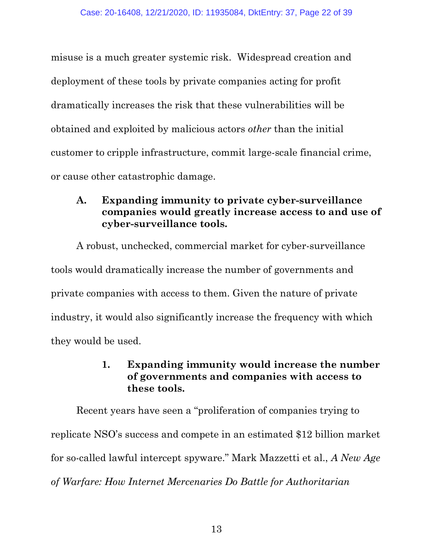misuse is a much greater systemic risk. Widespread creation and deployment of these tools by private companies acting for profit dramatically increases the risk that these vulnerabilities will be obtained and exploited by malicious actors *other* than the initial customer to cripple infrastructure, commit large-scale financial crime, or cause other catastrophic damage.

## <span id="page-21-0"></span>**A. Expanding immunity to private cyber-surveillance companies would greatly increase access to and use of cyber-surveillance tools.**

A robust, unchecked, commercial market for cyber-surveillance tools would dramatically increase the number of governments and private companies with access to them. Given the nature of private industry, it would also significantly increase the frequency with which they would be used.

## **1. Expanding immunity would increase the number of governments and companies with access to these tools.**

<span id="page-21-1"></span>Recent years have seen a "proliferation of companies trying to replicate NSO's success and compete in an estimated \$12 billion market for so-called lawful intercept spyware." Mark Mazzetti et al., *A New Age of Warfare: How Internet Mercenaries Do Battle for Authoritarian*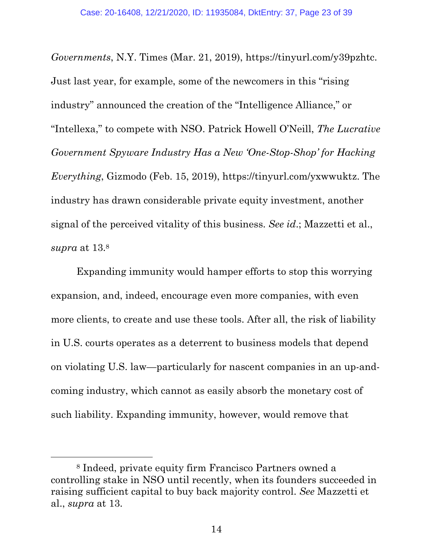*Governments*, N.Y. Times (Mar. 21, 2019), https://tinyurl.com/y39pzhtc. Just last year, for example, some of the newcomers in this "rising industry" announced the creation of the "Intelligence Alliance," or "Intellexa," to compete with NSO. Patrick Howell O'Neill, *The Lucrative Government Spyware Industry Has a New 'One-Stop-Shop' for Hacking Everything*, Gizmodo (Feb. 15, 2019), https://tinyurl.com/yxwwuktz. The industry has drawn considerable private equity investment, another signal of the perceived vitality of this business. *See id*.; Mazzetti et al., *supra* at 13.<sup>8</sup>

Expanding immunity would hamper efforts to stop this worrying expansion, and, indeed, encourage even more companies, with even more clients, to create and use these tools. After all, the risk of liability in U.S. courts operates as a deterrent to business models that depend on violating U.S. law—particularly for nascent companies in an up-andcoming industry, which cannot as easily absorb the monetary cost of such liability. Expanding immunity, however, would remove that

<sup>8</sup> Indeed, private equity firm Francisco Partners owned a controlling stake in NSO until recently, when its founders succeeded in raising sufficient capital to buy back majority control. *See* Mazzetti et al., *supra* at 13.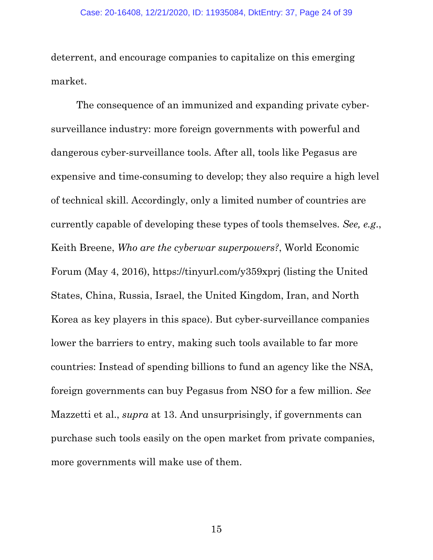deterrent, and encourage companies to capitalize on this emerging market.

The consequence of an immunized and expanding private cybersurveillance industry: more foreign governments with powerful and dangerous cyber-surveillance tools. After all, tools like Pegasus are expensive and time-consuming to develop; they also require a high level of technical skill. Accordingly, only a limited number of countries are currently capable of developing these types of tools themselves. *See, e.g*., Keith Breene, *Who are the cyberwar superpowers?*, World Economic Forum (May 4, 2016), https://tinyurl.com/y359xprj (listing the United States, China, Russia, Israel, the United Kingdom, Iran, and North Korea as key players in this space). But cyber-surveillance companies lower the barriers to entry, making such tools available to far more countries: Instead of spending billions to fund an agency like the NSA, foreign governments can buy Pegasus from NSO for a few million. *See* Mazzetti et al., *supra* at 13. And unsurprisingly, if governments can purchase such tools easily on the open market from private companies, more governments will make use of them.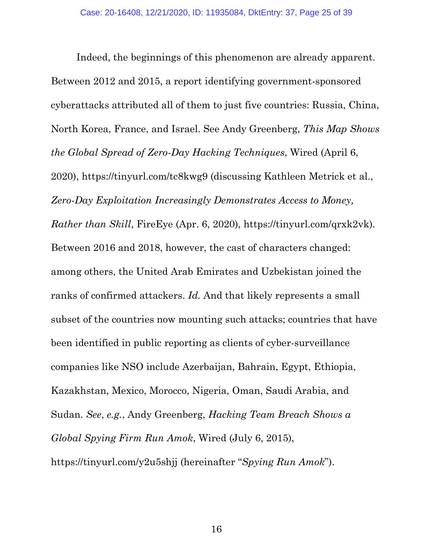Indeed, the beginnings of this phenomenon are already apparent. Between 2012 and 2015, a report identifying government-sponsored cyberattacks attributed all of them to just five countries: Russia, China, North Korea, France, and Israel. See Andy Greenberg, *This Map Shows the Global Spread of Zero-Day Hacking Techniques*, Wired (April 6, 2020), https://tinyurl.com/tc8kwg9 (discussing Kathleen Metrick et al., *Zero-Day Exploitation Increasingly Demonstrates Access to Money, Rather than Skill*, FireEye (Apr. 6, 2020), https://tinyurl.com/qrxk2vk). Between 2016 and 2018, however, the cast of characters changed: among others, the United Arab Emirates and Uzbekistan joined the ranks of confirmed attackers. *Id.* And that likely represents a small subset of the countries now mounting such attacks; countries that have been identified in public reporting as clients of cyber-surveillance companies like NSO include Azerbaijan, Bahrain, Egypt, Ethiopia, Kazakhstan, Mexico, Morocco, Nigeria, Oman, Saudi Arabia, and Sudan. *See*, *e.g.*, Andy Greenberg, *Hacking Team Breach Shows a Global Spying Firm Run Amok*, Wired (July 6, 2015), https://tinyurl.com/y2u5shjj (hereinafter "*Spying Run Amok*").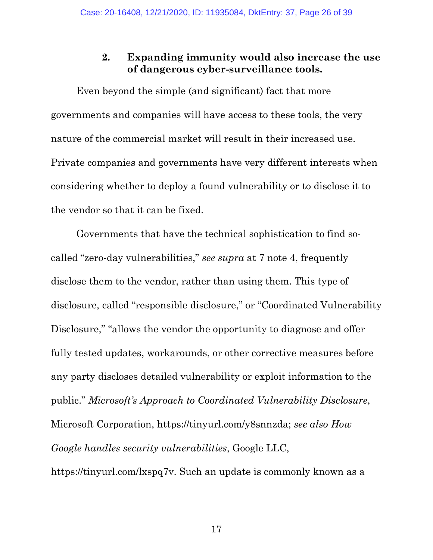### **2. Expanding immunity would also increase the use of dangerous cyber-surveillance tools.**

<span id="page-25-0"></span>Even beyond the simple (and significant) fact that more governments and companies will have access to these tools, the very nature of the commercial market will result in their increased use. Private companies and governments have very different interests when considering whether to deploy a found vulnerability or to disclose it to the vendor so that it can be fixed.

Governments that have the technical sophistication to find socalled "zero-day vulnerabilities," *see supra* at 7 note 4, frequently disclose them to the vendor, rather than using them. This type of disclosure, called "responsible disclosure," or "Coordinated Vulnerability Disclosure," "allows the vendor the opportunity to diagnose and offer fully tested updates, workarounds, or other corrective measures before any party discloses detailed vulnerability or exploit information to the public." *Microsoft's Approach to Coordinated Vulnerability Disclosure*, Microsoft Corporation, https://tinyurl.com/y8snnzda; *see also How Google handles security vulnerabilities*, Google LLC, https://tinyurl.com/lxspq7v. Such an update is commonly known as a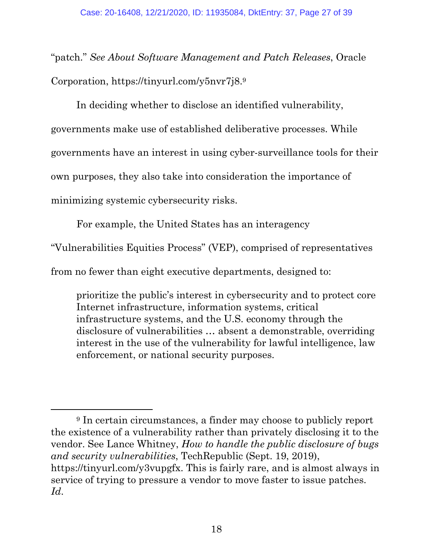"patch." *See About Software Management and Patch Releases*, Oracle Corporation, https://tinyurl.com/y5nvr7j8.<sup>9</sup>

In deciding whether to disclose an identified vulnerability, governments make use of established deliberative processes. While governments have an interest in using cyber-surveillance tools for their own purposes, they also take into consideration the importance of minimizing systemic cybersecurity risks.

For example, the United States has an interagency

"Vulnerabilities Equities Process" (VEP), comprised of representatives

from no fewer than eight executive departments, designed to:

prioritize the public's interest in cybersecurity and to protect core Internet infrastructure, information systems, critical infrastructure systems, and the U.S. economy through the disclosure of vulnerabilities … absent a demonstrable, overriding interest in the use of the vulnerability for lawful intelligence, law enforcement, or national security purposes.

<sup>&</sup>lt;sup>9</sup> In certain circumstances, a finder may choose to publicly report the existence of a vulnerability rather than privately disclosing it to the vendor. See Lance Whitney, *How to handle the public disclosure of bugs and security vulnerabilities*, TechRepublic (Sept. 19, 2019), https://tinyurl.com/y3vupgfx. This is fairly rare, and is almost always in service of trying to pressure a vendor to move faster to issue patches. *Id*.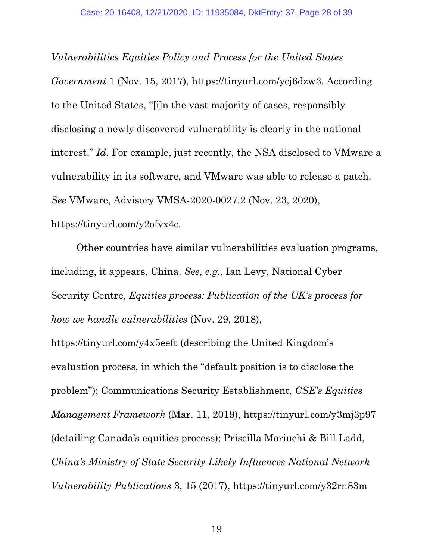*Vulnerabilities Equities Policy and Process for the United States Government* 1 (Nov. 15, 2017), https://tinyurl.com/ycj6dzw3. According to the United States, "[i]n the vast majority of cases, responsibly disclosing a newly discovered vulnerability is clearly in the national interest." *Id.* For example, just recently, the NSA disclosed to VMware a vulnerability in its software, and VMware was able to release a patch. *See* VMware, Advisory VMSA-2020-0027.2 (Nov. 23, 2020), https://tinyurl.com/y2ofvx4c.

Other countries have similar vulnerabilities evaluation programs, including, it appears, China. *See, e.g*., Ian Levy, National Cyber Security Centre, *Equities process: Publication of the UK's process for how we handle vulnerabilities* (Nov. 29, 2018),

https://tinyurl.com/y4x5eeft (describing the United Kingdom's evaluation process, in which the "default position is to disclose the problem"); Communications Security Establishment, *CSE's Equities Management Framework* (Mar. 11, 2019),<https://tinyurl.com/y3mj3p97> (detailing Canada's equities process); Priscilla Moriuchi & Bill Ladd, *China's Ministry of State Security Likely Influences National Network Vulnerability Publications* 3, 15 (2017), https://tinyurl.com/y32rn83m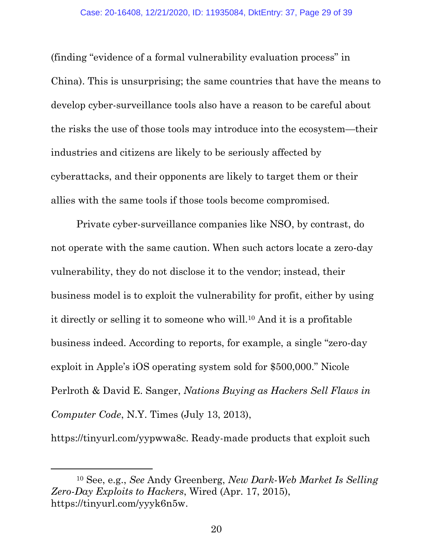(finding "evidence of a formal vulnerability evaluation process" in China). This is unsurprising; the same countries that have the means to develop cyber-surveillance tools also have a reason to be careful about the risks the use of those tools may introduce into the ecosystem—their industries and citizens are likely to be seriously affected by cyberattacks, and their opponents are likely to target them or their allies with the same tools if those tools become compromised.

Private cyber-surveillance companies like NSO, by contrast, do not operate with the same caution. When such actors locate a zero-day vulnerability, they do not disclose it to the vendor; instead, their business model is to exploit the vulnerability for profit, either by using it directly or selling it to someone who will.10 And it is a profitable business indeed. According to reports, for example, a single "zero-day exploit in Apple's iOS operating system sold for \$500,000." Nicole Perlroth & David E. Sanger, *Nations Buying as Hackers Sell Flaws in Computer Code*, N.Y. Times (July 13, 2013),

[https://tinyurl.com/yypwwa8c.](https://tinyurl.com/yypwwa8c) Ready-made products that exploit such

<sup>10</sup> See, e.g., *See* Andy Greenberg, *New Dark-Web Market Is Selling Zero-Day Exploits to Hackers*, Wired (Apr. 17, 2015), https://tinyurl.com/yyyk6n5w.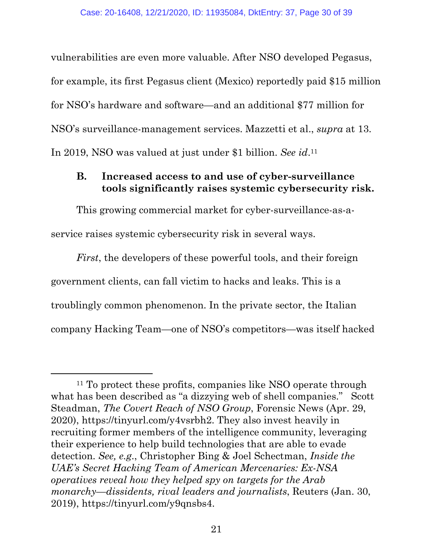vulnerabilities are even more valuable. After NSO developed Pegasus, for example, its first Pegasus client (Mexico) reportedly paid \$15 million for NSO's hardware and software—and an additional \$77 million for NSO's surveillance-management services. Mazzetti et al., *supra* at 13. In 2019, NSO was valued at just under \$1 billion. *See id*. 11

### <span id="page-29-0"></span>**B. Increased access to and use of cyber-surveillance tools significantly raises systemic cybersecurity risk.**

This growing commercial market for cyber-surveillance-as-aservice raises systemic cybersecurity risk in several ways.

*First*, the developers of these powerful tools, and their foreign government clients, can fall victim to hacks and leaks. This is a troublingly common phenomenon. In the private sector, the Italian company Hacking Team—one of NSO's competitors—was itself hacked

<sup>&</sup>lt;sup>11</sup> To protect these profits, companies like NSO operate through what has been described as "a dizzying web of shell companies." Scott Steadman, *The Covert Reach of NSO Group*, Forensic News (Apr. 29, 2020), https://tinyurl.com/y4vsrbh2. They also invest heavily in recruiting former members of the intelligence community, leveraging their experience to help build technologies that are able to evade detection. *See, e.g*., Christopher Bing & Joel Schectman, *Inside the UAE's Secret Hacking Team of American Mercenaries: Ex-NSA operatives reveal how they helped spy on targets for the Arab monarchy—dissidents, rival leaders and journalists*, Reuters (Jan. 30, 2019), https://tinyurl.com/y9qnsbs4.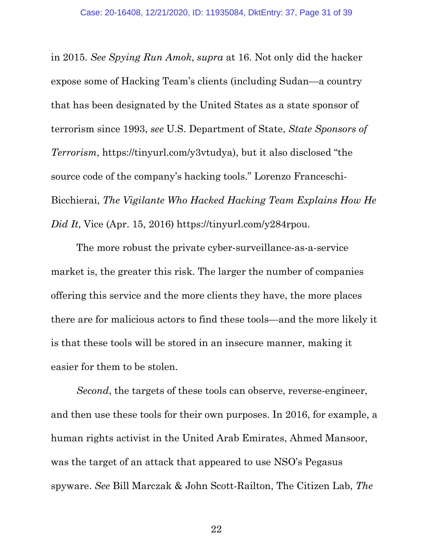in 2015. *See Spying Run Amok*, *supra* at 16. Not only did the hacker expose some of Hacking Team's clients (including Sudan—a country that has been designated by the United States as a state sponsor of terrorism since 1993, *see* U.S. Department of State, *State Sponsors of Terrorism*, https://tinyurl.com/y3vtudya), but it also disclosed "the source code of the company's hacking tools." Lorenzo Franceschi-Bicchierai, *The Vigilante Who Hacked Hacking Team Explains How He Did It*, Vice (Apr. 15, 2016) https://tinyurl.com/y284rpou.

The more robust the private cyber-surveillance-as-a-service market is, the greater this risk. The larger the number of companies offering this service and the more clients they have, the more places there are for malicious actors to find these tools—and the more likely it is that these tools will be stored in an insecure manner, making it easier for them to be stolen.

*Second*, the targets of these tools can observe, reverse-engineer, and then use these tools for their own purposes. In 2016, for example, a human rights activist in the United Arab Emirates, Ahmed Mansoor, was the target of an attack that appeared to use NSO's Pegasus spyware. *See* Bill Marczak & John Scott-Railton, The Citizen Lab, *The*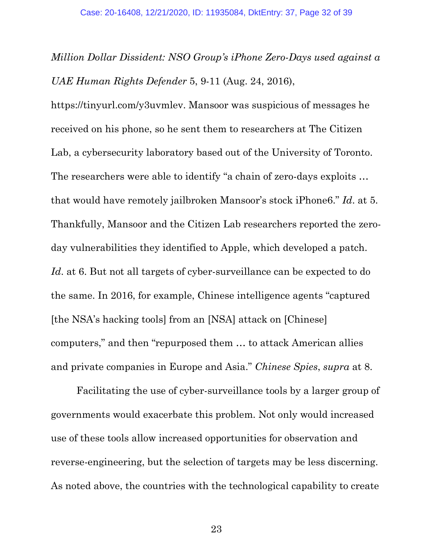*Million Dollar Dissident: NSO Group's iPhone Zero-Days used against a UAE Human Rights Defender* 5, 9-11 (Aug. 24, 2016),

https://tinyurl.com/y3uvmlev. Mansoor was suspicious of messages he received on his phone, so he sent them to researchers at The Citizen Lab, a cybersecurity laboratory based out of the University of Toronto. The researchers were able to identify "a chain of zero-days exploits … that would have remotely jailbroken Mansoor's stock iPhone6." *Id*. at 5. Thankfully, Mansoor and the Citizen Lab researchers reported the zeroday vulnerabilities they identified to Apple, which developed a patch. *Id*. at 6. But not all targets of cyber-surveillance can be expected to do the same. In 2016, for example, Chinese intelligence agents "captured [the NSA's hacking tools] from an [NSA] attack on [Chinese] computers," and then "repurposed them … to attack American allies and private companies in Europe and Asia." *Chinese Spies*, *supra* at 8.

Facilitating the use of cyber-surveillance tools by a larger group of governments would exacerbate this problem. Not only would increased use of these tools allow increased opportunities for observation and reverse-engineering, but the selection of targets may be less discerning. As noted above, the countries with the technological capability to create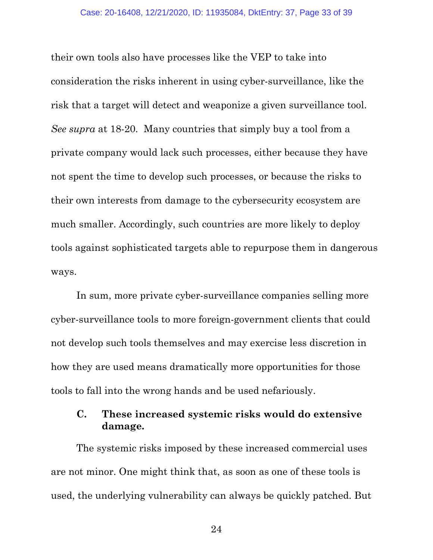their own tools also have processes like the VEP to take into consideration the risks inherent in using cyber-surveillance, like the risk that a target will detect and weaponize a given surveillance tool. *See supra* at 18-20. Many countries that simply buy a tool from a private company would lack such processes, either because they have not spent the time to develop such processes, or because the risks to their own interests from damage to the cybersecurity ecosystem are much smaller. Accordingly, such countries are more likely to deploy tools against sophisticated targets able to repurpose them in dangerous ways.

In sum, more private cyber-surveillance companies selling more cyber-surveillance tools to more foreign-government clients that could not develop such tools themselves and may exercise less discretion in how they are used means dramatically more opportunities for those tools to fall into the wrong hands and be used nefariously.

### <span id="page-32-0"></span>**C. These increased systemic risks would do extensive damage.**

The systemic risks imposed by these increased commercial uses are not minor. One might think that, as soon as one of these tools is used, the underlying vulnerability can always be quickly patched. But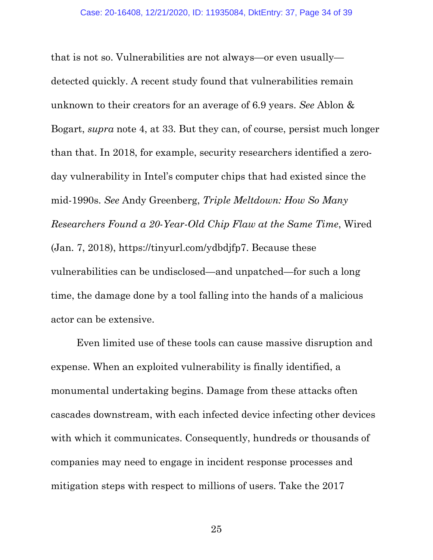that is not so. Vulnerabilities are not always—or even usually detected quickly. A recent study found that vulnerabilities remain unknown to their creators for an average of 6.9 years. *See* Ablon & Bogart, *supra* note 4, at 33. But they can, of course, persist much longer than that. In 2018, for example, security researchers identified a zeroday vulnerability in Intel's computer chips that had existed since the mid-1990s. *See* Andy Greenberg, *Triple Meltdown: How So Many Researchers Found a 20-Year-Old Chip Flaw at the Same Time*, Wired (Jan. 7, 2018), https://tinyurl.com/ydbdjfp7. Because these vulnerabilities can be undisclosed—and unpatched—for such a long time, the damage done by a tool falling into the hands of a malicious actor can be extensive.

Even limited use of these tools can cause massive disruption and expense. When an exploited vulnerability is finally identified, a monumental undertaking begins. Damage from these attacks often cascades downstream, with each infected device infecting other devices with which it communicates. Consequently, hundreds or thousands of companies may need to engage in incident response processes and mitigation steps with respect to millions of users. Take the 2017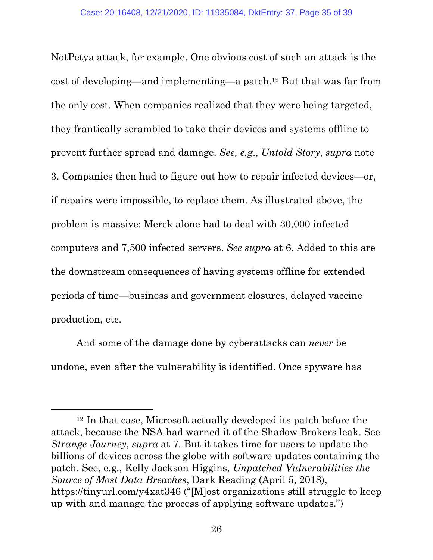NotPetya attack, for example. One obvious cost of such an attack is the cost of developing—and implementing—a patch.12 But that was far from the only cost. When companies realized that they were being targeted, they frantically scrambled to take their devices and systems offline to prevent further spread and damage. *See, e.g*., *Untold Story*, *supra* note 3. Companies then had to figure out how to repair infected devices—or, if repairs were impossible, to replace them. As illustrated above, the problem is massive: Merck alone had to deal with 30,000 infected computers and 7,500 infected servers. *See supra* at 6. Added to this are the downstream consequences of having systems offline for extended periods of time—business and government closures, delayed vaccine production, etc.

And some of the damage done by cyberattacks can *never* be undone, even after the vulnerability is identified. Once spyware has

<sup>12</sup> In that case, Microsoft actually developed its patch before the attack, because the NSA had warned it of the Shadow Brokers leak. See *Strange Journey*, *supra* at 7. But it takes time for users to update the billions of devices across the globe with software updates containing the patch. See, e.g., Kelly Jackson Higgins, *Unpatched Vulnerabilities the Source of Most Data Breaches*, Dark Reading (April 5, 2018), https://tinyurl.com/y4xat346 ("[M]ost organizations still struggle to keep up with and manage the process of applying software updates.")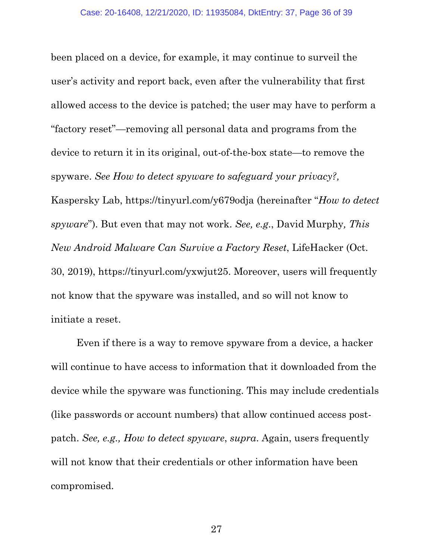been placed on a device, for example, it may continue to surveil the user's activity and report back, even after the vulnerability that first allowed access to the device is patched; the user may have to perform a "factory reset"—removing all personal data and programs from the device to return it in its original, out-of-the-box state—to remove the spyware. *See How to detect spyware to safeguard your privacy?,*  Kaspersky Lab, https://tinyurl.com/y679odja (hereinafter "*How to detect spyware*"). But even that may not work. *See, e.g*., David Murphy*, This New Android Malware Can Survive a Factory Reset*, LifeHacker (Oct. 30, 2019), https://tinyurl.com/yxwjut25. Moreover, users will frequently not know that the spyware was installed, and so will not know to initiate a reset.

Even if there is a way to remove spyware from a device, a hacker will continue to have access to information that it downloaded from the device while the spyware was functioning. This may include credentials (like passwords or account numbers) that allow continued access postpatch. *See, e.g., How to detect spyware*, *supra*. Again, users frequently will not know that their credentials or other information have been compromised.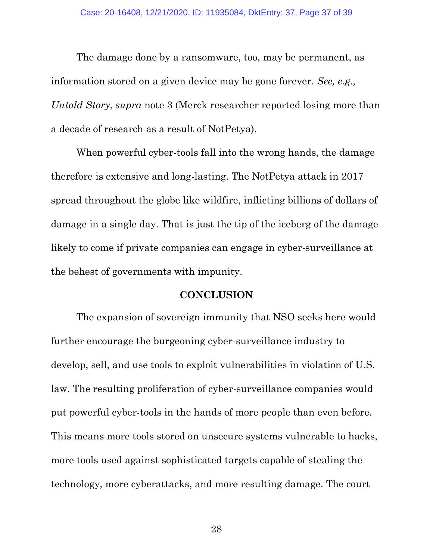The damage done by a ransomware, too, may be permanent, as information stored on a given device may be gone forever. *See, e.g., Untold Story*, *supra* note 3 (Merck researcher reported losing more than a decade of research as a result of NotPetya).

When powerful cyber-tools fall into the wrong hands, the damage therefore is extensive and long-lasting. The NotPetya attack in 2017 spread throughout the globe like wildfire, inflicting billions of dollars of damage in a single day. That is just the tip of the iceberg of the damage likely to come if private companies can engage in cyber-surveillance at the behest of governments with impunity.

#### **CONCLUSION**

<span id="page-36-0"></span>The expansion of sovereign immunity that NSO seeks here would further encourage the burgeoning cyber-surveillance industry to develop, sell, and use tools to exploit vulnerabilities in violation of U.S. law. The resulting proliferation of cyber-surveillance companies would put powerful cyber-tools in the hands of more people than even before. This means more tools stored on unsecure systems vulnerable to hacks, more tools used against sophisticated targets capable of stealing the technology, more cyberattacks, and more resulting damage. The court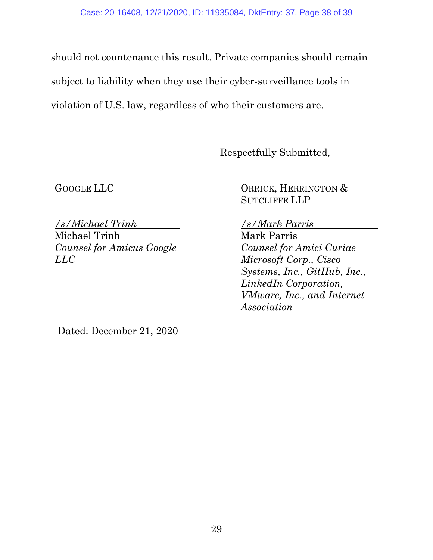should not countenance this result. Private companies should remain subject to liability when they use their cyber-surveillance tools in violation of U.S. law, regardless of who their customers are.

Respectfully Submitted,

GOOGLE LLC

ORRICK, HERRINGTON & SUTCLIFFE LLP

*/s/Michael Trinh* Michael Trinh *Counsel for Amicus Google LLC*

### */s/Mark Parris*

Mark Parris *Counsel for Amici Curiae Microsoft Corp., Cisco Systems, Inc., GitHub, Inc., LinkedIn Corporation, VMware, Inc., and Internet Association* 

Dated: December 21, 2020